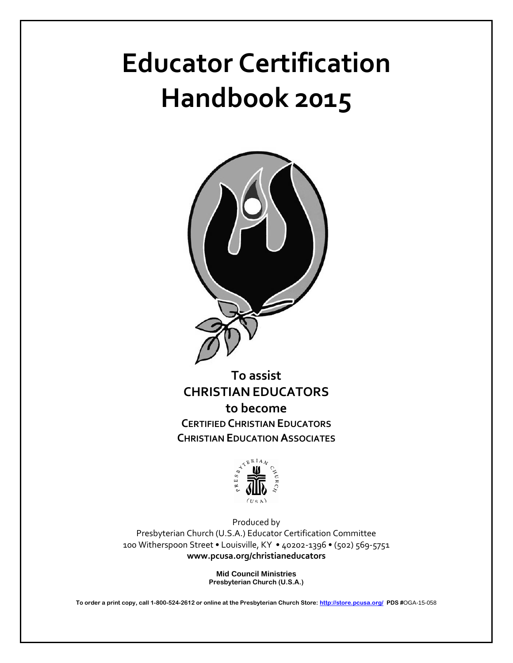# **Educator Certification Handbook 2015**



**To assist CHRISTIAN EDUCATORS to become CERTIFIED CHRISTIAN EDUCATORS CHRISTIAN EDUCATION ASSOCIATES**



Produced by Presbyterian Church (U.S.A.) Educator Certification Committee 100 Witherspoon Street • Louisville, KY • 40202-1396 • (502) 569-5751 **www.pcusa.org/christianeducators**

> **Mid Council Ministries Presbyterian Church (U.S.A.)**

**To order a print copy, call 1-800-524-2612 or online at the Presbyterian Church Store:<http://store.pcusa.org/>PDS #**OGA-15-058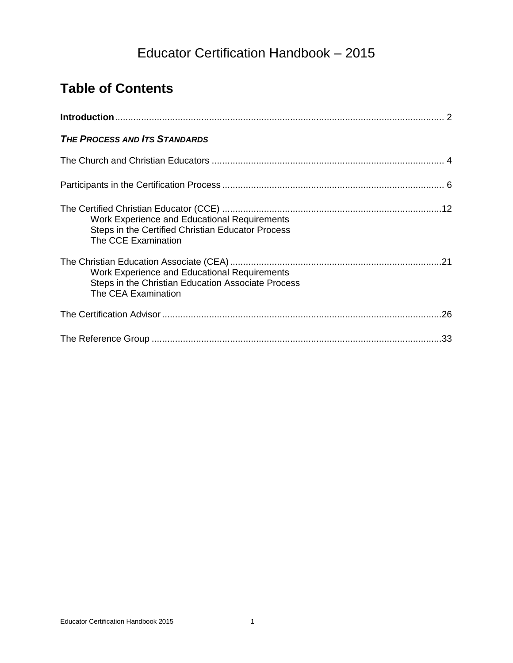# Educator Certification Handbook – 2015

# **Table of Contents**

| <b>THE PROCESS AND ITS STANDARDS</b>                                                                                      |  |
|---------------------------------------------------------------------------------------------------------------------------|--|
|                                                                                                                           |  |
|                                                                                                                           |  |
| Work Experience and Educational Requirements<br>Steps in the Certified Christian Educator Process<br>The CCE Examination  |  |
| Work Experience and Educational Requirements<br>Steps in the Christian Education Associate Process<br>The CEA Examination |  |
|                                                                                                                           |  |
|                                                                                                                           |  |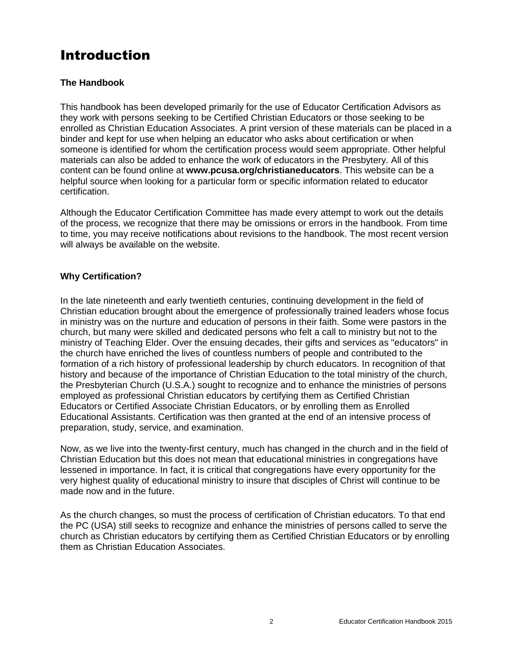# <span id="page-2-0"></span>Introduction

### **The Handbook**

This handbook has been developed primarily for the use of Educator Certification Advisors as they work with persons seeking to be Certified Christian Educators or those seeking to be enrolled as Christian Education Associates. A print version of these materials can be placed in a binder and kept for use when helping an educator who asks about certification or when someone is identified for whom the certification process would seem appropriate. Other helpful materials can also be added to enhance the work of educators in the Presbytery. All of this content can be found online at **[www.pcusa.org/christianeducators](http://www.pcusa.org/christianeducators)**. This website can be a helpful source when looking for a particular form or specific information related to educator certification.

Although the Educator Certification Committee has made every attempt to work out the details of the process, we recognize that there may be omissions or errors in the handbook. From time to time, you may receive notifications about revisions to the handbook. The most recent version will always be available on the website.

### **Why Certification?**

In the late nineteenth and early twentieth centuries, continuing development in the field of Christian education brought about the emergence of professionally trained leaders whose focus in ministry was on the nurture and education of persons in their faith. Some were pastors in the church, but many were skilled and dedicated persons who felt a call to ministry but not to the ministry of Teaching Elder. Over the ensuing decades, their gifts and services as "educators" in the church have enriched the lives of countless numbers of people and contributed to the formation of a rich history of professional leadership by church educators. In recognition of that history and because of the importance of Christian Education to the total ministry of the church, the Presbyterian Church (U.S.A.) sought to recognize and to enhance the ministries of persons employed as professional Christian educators by certifying them as Certified Christian Educators or Certified Associate Christian Educators, or by enrolling them as Enrolled Educational Assistants. Certification was then granted at the end of an intensive process of preparation, study, service, and examination.

Now, as we live into the twenty-first century, much has changed in the church and in the field of Christian Education but this does not mean that educational ministries in congregations have lessened in importance. In fact, it is critical that congregations have every opportunity for the very highest quality of educational ministry to insure that disciples of Christ will continue to be made now and in the future.

As the church changes, so must the process of certification of Christian educators. To that end the PC (USA) still seeks to recognize and enhance the ministries of persons called to serve the church as Christian educators by certifying them as Certified Christian Educators or by enrolling them as Christian Education Associates.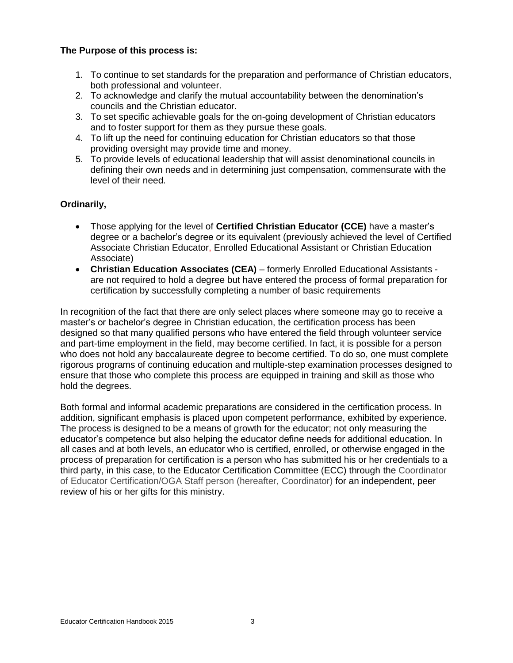### **The Purpose of this process is:**

- 1. To continue to set standards for the preparation and performance of Christian educators, both professional and volunteer.
- 2. To acknowledge and clarify the mutual accountability between the denomination's councils and the Christian educator.
- 3. To set specific achievable goals for the on-going development of Christian educators and to foster support for them as they pursue these goals.
- 4. To lift up the need for continuing education for Christian educators so that those providing oversight may provide time and money.
- 5. To provide levels of educational leadership that will assist denominational councils in defining their own needs and in determining just compensation, commensurate with the level of their need.

### **Ordinarily,**

- Those applying for the level of **Certified Christian Educator (CCE)** have a master's degree or a bachelor's degree or its equivalent (previously achieved the level of Certified Associate Christian Educator, Enrolled Educational Assistant or Christian Education Associate)
- **Christian Education Associates (CEA)** formerly Enrolled Educational Assistants are not required to hold a degree but have entered the process of formal preparation for certification by successfully completing a number of basic requirements

In recognition of the fact that there are only select places where someone may go to receive a master's or bachelor's degree in Christian education, the certification process has been designed so that many qualified persons who have entered the field through volunteer service and part-time employment in the field, may become certified. In fact, it is possible for a person who does not hold any baccalaureate degree to become certified. To do so, one must complete rigorous programs of continuing education and multiple-step examination processes designed to ensure that those who complete this process are equipped in training and skill as those who hold the degrees.

Both formal and informal academic preparations are considered in the certification process. In addition, significant emphasis is placed upon competent performance, exhibited by experience. The process is designed to be a means of growth for the educator; not only measuring the educator's competence but also helping the educator define needs for additional education. In all cases and at both levels, an educator who is certified, enrolled, or otherwise engaged in the process of preparation for certification is a person who has submitted his or her credentials to a third party, in this case, to the Educator Certification Committee (ECC) through the Coordinator of Educator Certification/OGA Staff person (hereafter, Coordinator) for an independent, peer review of his or her gifts for this ministry.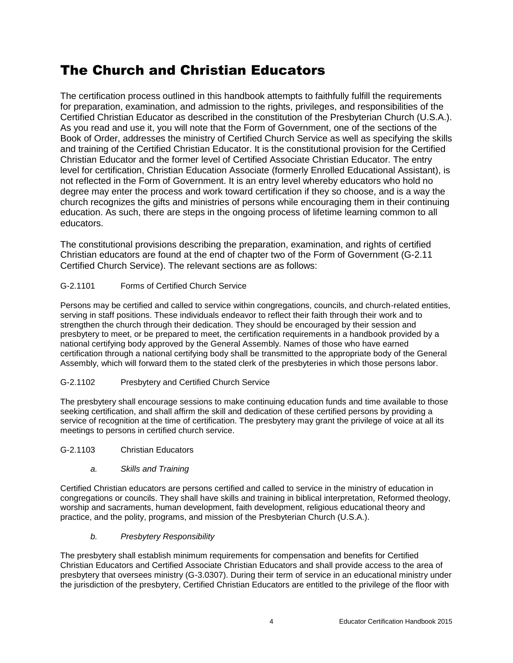# The Church and Christian Educators

The certification process outlined in this handbook attempts to faithfully fulfill the requirements for preparation, examination, and admission to the rights, privileges, and responsibilities of the Certified Christian Educator as described in the constitution of the Presbyterian Church (U.S.A.). As you read and use it, you will note that the Form of Government, one of the sections of the Book of Order, addresses the ministry of Certified Church Service as well as specifying the skills and training of the Certified Christian Educator. It is the constitutional provision for the Certified Christian Educator and the former level of Certified Associate Christian Educator. The entry level for certification, Christian Education Associate (formerly Enrolled Educational Assistant), is not reflected in the Form of Government. It is an entry level whereby educators who hold no degree may enter the process and work toward certification if they so choose, and is a way the church recognizes the gifts and ministries of persons while encouraging them in their continuing education. As such, there are steps in the ongoing process of lifetime learning common to all educators.

The constitutional provisions describing the preparation, examination, and rights of certified Christian educators are found at the end of chapter two of the Form of Government (G-2.11 Certified Church Service). The relevant sections are as follows:

### G-2.1101 Forms of Certified Church Service

Persons may be certified and called to service within congregations, councils, and church-related entities, serving in staff positions. These individuals endeavor to reflect their faith through their work and to strengthen the church through their dedication. They should be encouraged by their session and presbytery to meet, or be prepared to meet, the certification requirements in a handbook provided by a national certifying body approved by the General Assembly. Names of those who have earned certification through a national certifying body shall be transmitted to the appropriate body of the General Assembly, which will forward them to the stated clerk of the presbyteries in which those persons labor.

#### G-2.1102 Presbytery and Certified Church Service

The presbytery shall encourage sessions to make continuing education funds and time available to those seeking certification, and shall affirm the skill and dedication of these certified persons by providing a service of recognition at the time of certification. The presbytery may grant the privilege of voice at all its meetings to persons in certified church service.

#### G-2.1103 Christian Educators

*a. Skills and Training*

Certified Christian educators are persons certified and called to service in the ministry of education in congregations or councils. They shall have skills and training in biblical interpretation, Reformed theology, worship and sacraments, human development, faith development, religious educational theory and practice, and the polity, programs, and mission of the Presbyterian Church (U.S.A.).

#### *b. Presbytery Responsibility*

The presbytery shall establish minimum requirements for compensation and benefits for Certified Christian Educators and Certified Associate Christian Educators and shall provide access to the area of presbytery that oversees ministry (G-3.0307). During their term of service in an educational ministry under the jurisdiction of the presbytery, Certified Christian Educators are entitled to the privilege of the floor with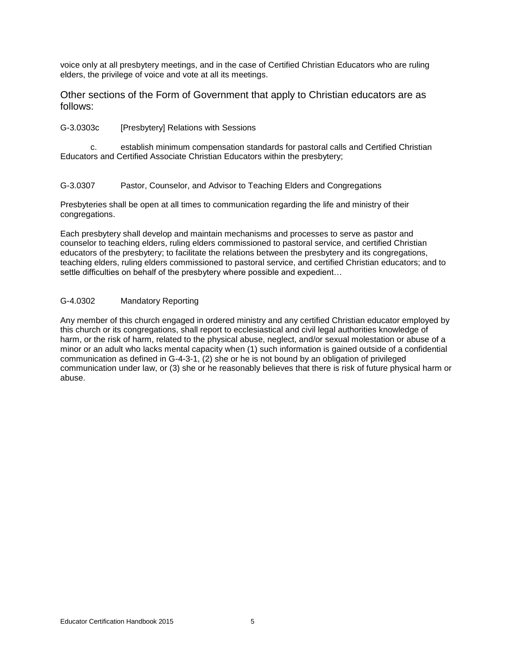voice only at all presbytery meetings, and in the case of Certified Christian Educators who are ruling elders, the privilege of voice and vote at all its meetings.

Other sections of the Form of Government that apply to Christian educators are as follows:

G-3.0303c [Presbytery] Relations with Sessions

c. establish minimum compensation standards for pastoral calls and Certified Christian Educators and Certified Associate Christian Educators within the presbytery;

#### G-3.0307 Pastor, Counselor, and Advisor to Teaching Elders and Congregations

Presbyteries shall be open at all times to communication regarding the life and ministry of their congregations.

Each presbytery shall develop and maintain mechanisms and processes to serve as pastor and counselor to teaching elders, ruling elders commissioned to pastoral service, and certified Christian educators of the presbytery; to facilitate the relations between the presbytery and its congregations, teaching elders, ruling elders commissioned to pastoral service, and certified Christian educators; and to settle difficulties on behalf of the presbytery where possible and expedient...

#### G-4.0302 Mandatory Reporting

Any member of this church engaged in ordered ministry and any certified Christian educator employed by this church or its congregations, shall report to ecclesiastical and civil legal authorities knowledge of harm, or the risk of harm, related to the physical abuse, neglect, and/or sexual molestation or abuse of a minor or an adult who lacks mental capacity when (1) such information is gained outside of a confidential communication as defined in G-4-3-1, (2) she or he is not bound by an obligation of privileged communication under law, or (3) she or he reasonably believes that there is risk of future physical harm or abuse.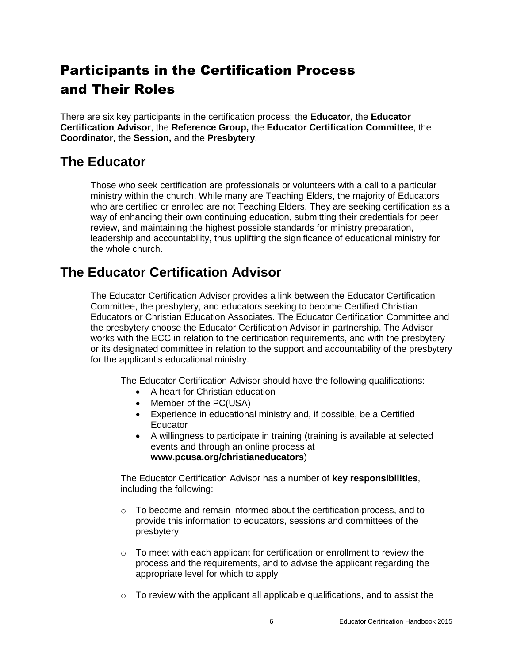# <span id="page-6-0"></span>Participants in the Certification Process and Their Roles

There are six key participants in the certification process: the **Educator**, the **Educator Certification Advisor**, the **Reference Group,** the **Educator Certification Committee**, the **Coordinator**, the **Session,** and the **Presbytery**.

### **The Educator**

Those who seek certification are professionals or volunteers with a call to a particular ministry within the church. While many are Teaching Elders, the majority of Educators who are certified or enrolled are not Teaching Elders. They are seeking certification as a way of enhancing their own continuing education, submitting their credentials for peer review, and maintaining the highest possible standards for ministry preparation, leadership and accountability, thus uplifting the significance of educational ministry for the whole church.

## **The Educator Certification Advisor**

The Educator Certification Advisor provides a link between the Educator Certification Committee, the presbytery, and educators seeking to become Certified Christian Educators or Christian Education Associates. The Educator Certification Committee and the presbytery choose the Educator Certification Advisor in partnership. The Advisor works with the ECC in relation to the certification requirements, and with the presbytery or its designated committee in relation to the support and accountability of the presbytery for the applicant's educational ministry.

The Educator Certification Advisor should have the following qualifications:

- A heart for Christian education
- Member of the PC(USA)
- Experience in educational ministry and, if possible, be a Certified **Educator**
- A willingness to participate in training (training is available at selected events and through an online process at **www.pcusa.org/christianeducators**)

The Educator Certification Advisor has a number of **key responsibilities**, including the following:

- o To become and remain informed about the certification process, and to provide this information to educators, sessions and committees of the presbytery
- $\circ$  To meet with each applicant for certification or enrollment to review the process and the requirements, and to advise the applicant regarding the appropriate level for which to apply
- $\circ$  To review with the applicant all applicable qualifications, and to assist the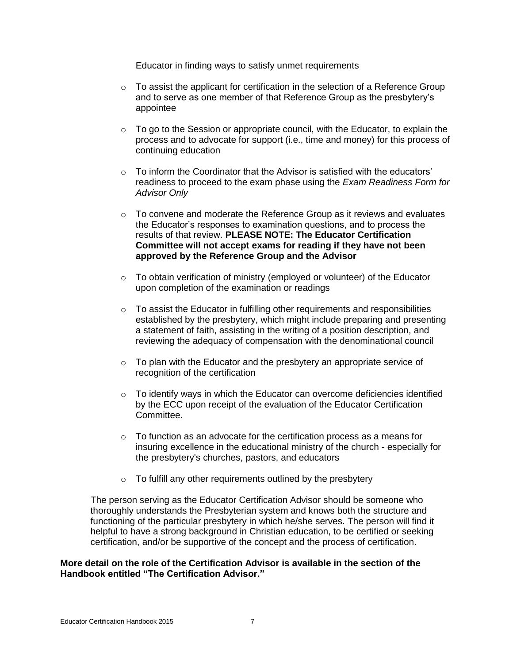Educator in finding ways to satisfy unmet requirements

- $\circ$  To assist the applicant for certification in the selection of a Reference Group and to serve as one member of that Reference Group as the presbytery's appointee
- $\circ$  To go to the Session or appropriate council, with the Educator, to explain the process and to advocate for support (i.e., time and money) for this process of continuing education
- $\circ$  To inform the Coordinator that the Advisor is satisfied with the educators' readiness to proceed to the exam phase using the *Exam Readiness Form for Advisor Only*
- $\circ$  To convene and moderate the Reference Group as it reviews and evaluates the Educator's responses to examination questions, and to process the results of that review. **PLEASE NOTE: The Educator Certification Committee will not accept exams for reading if they have not been approved by the Reference Group and the Advisor**
- o To obtain verification of ministry (employed or volunteer) of the Educator upon completion of the examination or readings
- $\circ$  To assist the Educator in fulfilling other requirements and responsibilities established by the presbytery, which might include preparing and presenting a statement of faith, assisting in the writing of a position description, and reviewing the adequacy of compensation with the denominational council
- $\circ$  To plan with the Educator and the presbytery an appropriate service of recognition of the certification
- $\circ$  To identify ways in which the Educator can overcome deficiencies identified by the ECC upon receipt of the evaluation of the Educator Certification Committee.
- $\circ$  To function as an advocate for the certification process as a means for insuring excellence in the educational ministry of the church - especially for the presbytery's churches, pastors, and educators
- $\circ$  To fulfill any other requirements outlined by the presbytery

The person serving as the Educator Certification Advisor should be someone who thoroughly understands the Presbyterian system and knows both the structure and functioning of the particular presbytery in which he/she serves. The person will find it helpful to have a strong background in Christian education, to be certified or seeking certification, and/or be supportive of the concept and the process of certification.

#### **More detail on the role of the Certification Advisor is available in the section of the Handbook entitled "The Certification Advisor."**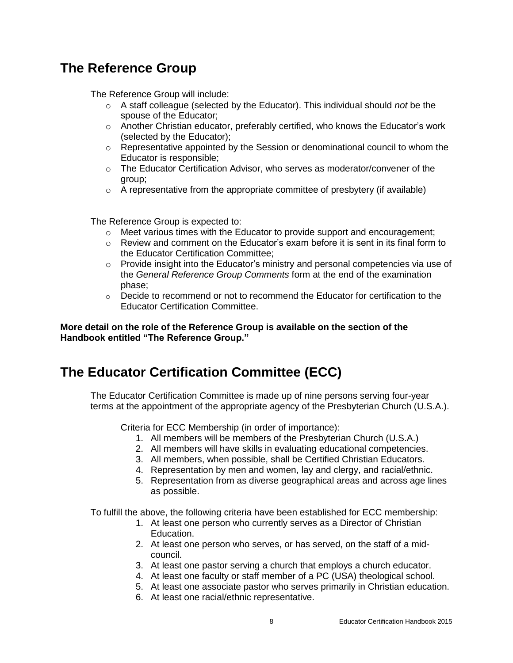### **The Reference Group**

The Reference Group will include:

- o A staff colleague (selected by the Educator). This individual should *not* be the spouse of the Educator;
- $\circ$  Another Christian educator, preferably certified, who knows the Educator's work (selected by the Educator);
- $\circ$  Representative appointed by the Session or denominational council to whom the Educator is responsible;
- $\circ$  The Educator Certification Advisor, who serves as moderator/convener of the group;
- $\circ$  A representative from the appropriate committee of presbytery (if available)

The Reference Group is expected to:

- $\circ$  Meet various times with the Educator to provide support and encouragement;
- $\circ$  Review and comment on the Educator's exam before it is sent in its final form to the Educator Certification Committee;
- $\circ$  Provide insight into the Educator's ministry and personal competencies via use of the *General Reference Group Comments* form at the end of the examination phase;
- $\circ$  Decide to recommend or not to recommend the Educator for certification to the Educator Certification Committee.

**More detail on the role of the Reference Group is available on the section of the Handbook entitled "The Reference Group."**

### **The Educator Certification Committee (ECC)**

The Educator Certification Committee is made up of nine persons serving four-year terms at the appointment of the appropriate agency of the Presbyterian Church (U.S.A.).

Criteria for ECC Membership (in order of importance):

- 1. All members will be members of the Presbyterian Church (U.S.A.)
- 2. All members will have skills in evaluating educational competencies.
- 3. All members, when possible, shall be Certified Christian Educators.
- 4. Representation by men and women, lay and clergy, and racial/ethnic.
- 5. Representation from as diverse geographical areas and across age lines as possible.

To fulfill the above, the following criteria have been established for ECC membership:

- 1. At least one person who currently serves as a Director of Christian Education.
- 2. At least one person who serves, or has served, on the staff of a midcouncil.
- 3. At least one pastor serving a church that employs a church educator.
- 4. At least one faculty or staff member of a PC (USA) theological school.
- 5. At least one associate pastor who serves primarily in Christian education.
- 6. At least one racial/ethnic representative.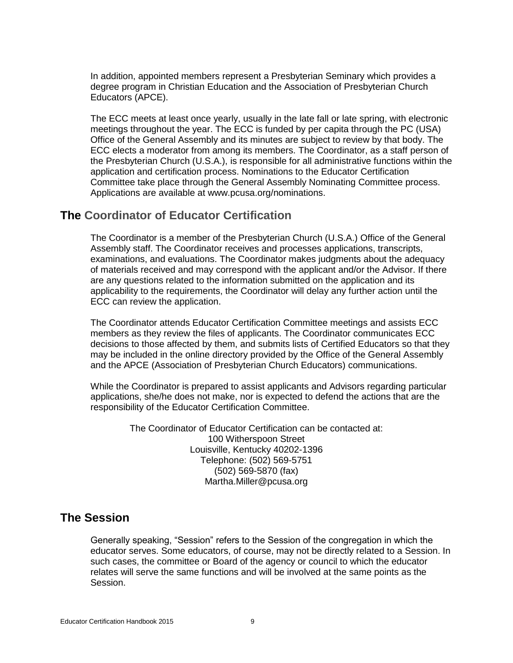In addition, appointed members represent a Presbyterian Seminary which provides a degree program in Christian Education and the Association of Presbyterian Church Educators (APCE).

The ECC meets at least once yearly, usually in the late fall or late spring, with electronic meetings throughout the year. The ECC is funded by per capita through the PC (USA) Office of the General Assembly and its minutes are subject to review by that body. The ECC elects a moderator from among its members. The Coordinator, as a staff person of the Presbyterian Church (U.S.A.), is responsible for all administrative functions within the application and certification process. Nominations to the Educator Certification Committee take place through the General Assembly Nominating Committee process. Applications are available at www.pcusa.org/nominations.

### **The Coordinator of Educator Certification**

The Coordinator is a member of the Presbyterian Church (U.S.A.) Office of the General Assembly staff. The Coordinator receives and processes applications, transcripts, examinations, and evaluations. The Coordinator makes judgments about the adequacy of materials received and may correspond with the applicant and/or the Advisor. If there are any questions related to the information submitted on the application and its applicability to the requirements, the Coordinator will delay any further action until the ECC can review the application.

The Coordinator attends Educator Certification Committee meetings and assists ECC members as they review the files of applicants. The Coordinator communicates ECC decisions to those affected by them, and submits lists of Certified Educators so that they may be included in the online directory provided by the Office of the General Assembly and the APCE (Association of Presbyterian Church Educators) communications.

While the Coordinator is prepared to assist applicants and Advisors regarding particular applications, she/he does not make, nor is expected to defend the actions that are the responsibility of the Educator Certification Committee.

> The Coordinator of Educator Certification can be contacted at: 100 Witherspoon Street Louisville, Kentucky 40202-1396 Telephone: (502) 569-5751 (502) 569-5870 (fax) Martha.Miller@pcusa.org

### **The Session**

Generally speaking, "Session" refers to the Session of the congregation in which the educator serves. Some educators, of course, may not be directly related to a Session. In such cases, the committee or Board of the agency or council to which the educator relates will serve the same functions and will be involved at the same points as the Session.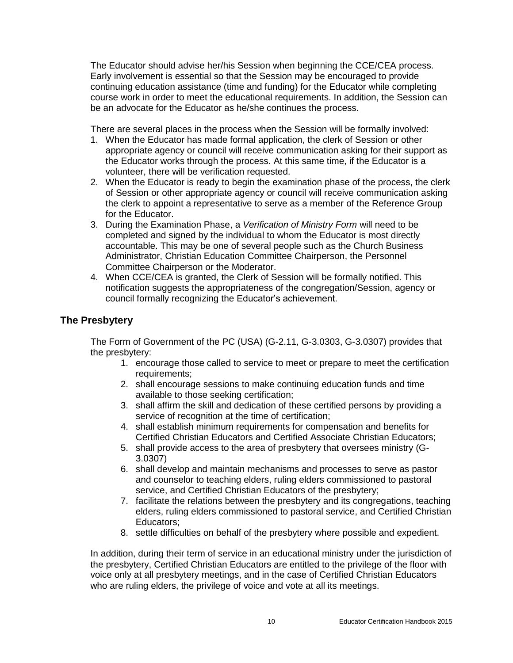The Educator should advise her/his Session when beginning the CCE/CEA process. Early involvement is essential so that the Session may be encouraged to provide continuing education assistance (time and funding) for the Educator while completing course work in order to meet the educational requirements. In addition, the Session can be an advocate for the Educator as he/she continues the process.

There are several places in the process when the Session will be formally involved:

- 1. When the Educator has made formal application, the clerk of Session or other appropriate agency or council will receive communication asking for their support as the Educator works through the process. At this same time, if the Educator is a volunteer, there will be verification requested.
- 2. When the Educator is ready to begin the examination phase of the process, the clerk of Session or other appropriate agency or council will receive communication asking the clerk to appoint a representative to serve as a member of the Reference Group for the Educator.
- 3. During the Examination Phase, a *Verification of Ministry Form* will need to be completed and signed by the individual to whom the Educator is most directly accountable. This may be one of several people such as the Church Business Administrator, Christian Education Committee Chairperson, the Personnel Committee Chairperson or the Moderator.
- 4. When CCE/CEA is granted, the Clerk of Session will be formally notified. This notification suggests the appropriateness of the congregation/Session, agency or council formally recognizing the Educator's achievement.

### **The Presbytery**

The Form of Government of the PC (USA) (G-2.11, G-3.0303, G-3.0307) provides that the presbytery:

- 1. encourage those called to service to meet or prepare to meet the certification requirements;
- 2. shall encourage sessions to make continuing education funds and time available to those seeking certification;
- 3. shall affirm the skill and dedication of these certified persons by providing a service of recognition at the time of certification;
- 4. shall establish minimum requirements for compensation and benefits for Certified Christian Educators and Certified Associate Christian Educators;
- 5. shall provide access to the area of presbytery that oversees ministry (G-3.0307)
- 6. shall develop and maintain mechanisms and processes to serve as pastor and counselor to teaching elders, ruling elders commissioned to pastoral service, and Certified Christian Educators of the presbytery;
- 7. facilitate the relations between the presbytery and its congregations, teaching elders, ruling elders commissioned to pastoral service, and Certified Christian Educators;
- 8. settle difficulties on behalf of the presbytery where possible and expedient.

In addition, during their term of service in an educational ministry under the jurisdiction of the presbytery, Certified Christian Educators are entitled to the privilege of the floor with voice only at all presbytery meetings, and in the case of Certified Christian Educators who are ruling elders, the privilege of voice and vote at all its meetings.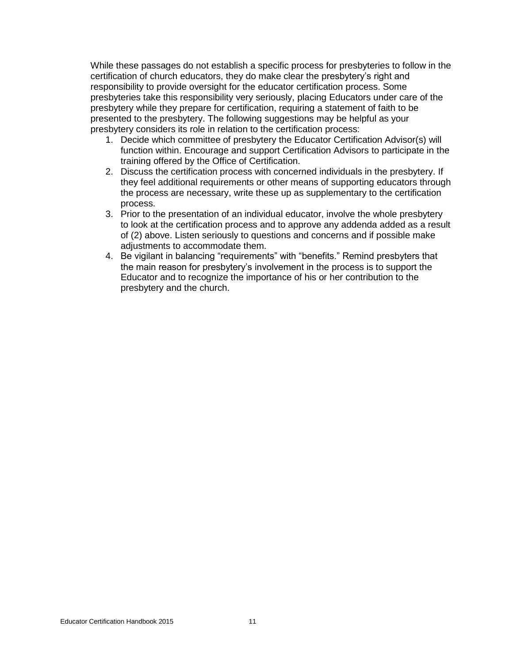While these passages do not establish a specific process for presbyteries to follow in the certification of church educators, they do make clear the presbytery's right and responsibility to provide oversight for the educator certification process. Some presbyteries take this responsibility very seriously, placing Educators under care of the presbytery while they prepare for certification, requiring a statement of faith to be presented to the presbytery. The following suggestions may be helpful as your presbytery considers its role in relation to the certification process:

- 1. Decide which committee of presbytery the Educator Certification Advisor(s) will function within. Encourage and support Certification Advisors to participate in the training offered by the Office of Certification.
- 2. Discuss the certification process with concerned individuals in the presbytery. If they feel additional requirements or other means of supporting educators through the process are necessary, write these up as supplementary to the certification process.
- 3. Prior to the presentation of an individual educator, involve the whole presbytery to look at the certification process and to approve any addenda added as a result of (2) above. Listen seriously to questions and concerns and if possible make adjustments to accommodate them.
- 4. Be vigilant in balancing "requirements" with "benefits." Remind presbyters that the main reason for presbytery's involvement in the process is to support the Educator and to recognize the importance of his or her contribution to the presbytery and the church.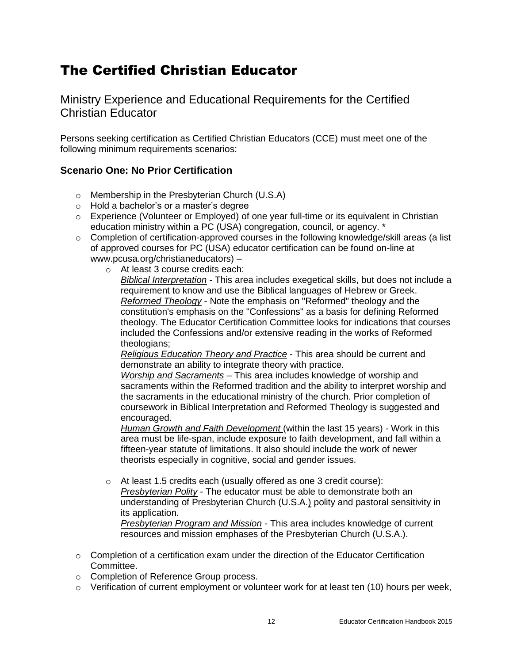# <span id="page-12-0"></span>The Certified Christian Educator

Ministry Experience and Educational Requirements for the Certified Christian Educator

Persons seeking certification as Certified Christian Educators (CCE) must meet one of the following minimum requirements scenarios:

### **Scenario One: No Prior Certification**

- o Membership in the Presbyterian Church (U.S.A)
- o Hold a bachelor's or a master's degree
- $\circ$  Experience (Volunteer or Employed) of one year full-time or its equivalent in Christian education ministry within a PC (USA) congregation, council, or agency. \*
- $\circ$  Completion of certification-approved courses in the following knowledge/skill areas (a list of approved courses for PC (USA) educator certification can be found on-line at [www.pcusa.org/christianeducators\)](http://www.pcusa.org/christianeducators) –
	- o At least 3 course credits each:

*Biblical Interpretation* - This area includes exegetical skills, but does not include a requirement to know and use the Biblical languages of Hebrew or Greek. *Reformed Theology* - Note the emphasis on "Reformed" theology and the constitution's emphasis on the "Confessions" as a basis for defining Reformed theology. The Educator Certification Committee looks for indications that courses included the Confessions and/or extensive reading in the works of Reformed theologians;

*Religious Education Theory and Practice* - This area should be current and demonstrate an ability to integrate theory with practice.

*Worship and Sacraments* – This area includes knowledge of worship and sacraments within the Reformed tradition and the ability to interpret worship and the sacraments in the educational ministry of the church. Prior completion of coursework in Biblical Interpretation and Reformed Theology is suggested and encouraged.

*Human Growth and Faith Development* (within the last 15 years) - Work in this area must be life-span, include exposure to faith development, and fall within a fifteen-year statute of limitations. It also should include the work of newer theorists especially in cognitive, social and gender issues.

o At least 1.5 credits each (usually offered as one 3 credit course): *Presbyterian Polity* - The educator must be able to demonstrate both an understanding of Presbyterian Church (U.S.A.) polity and pastoral sensitivity in its application.

*Presbyterian Program and Mission* - This area includes knowledge of current resources and mission emphases of the Presbyterian Church (U.S.A.).

- $\circ$  Completion of a certification exam under the direction of the Educator Certification Committee.
- o Completion of Reference Group process.
- $\circ$  Verification of current employment or volunteer work for at least ten (10) hours per week,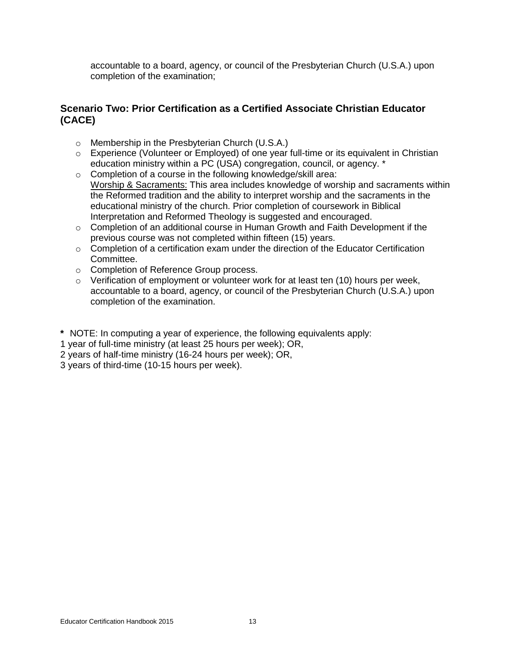accountable to a board, agency, or council of the Presbyterian Church (U.S.A.) upon completion of the examination;

### **Scenario Two: Prior Certification as a Certified Associate Christian Educator (CACE)**

- o Membership in the Presbyterian Church (U.S.A.)
- $\circ$  Experience (Volunteer or Employed) of one year full-time or its equivalent in Christian education ministry within a PC (USA) congregation, council, or agency. \*
- o Completion of a course in the following knowledge/skill area: Worship & Sacraments: This area includes knowledge of worship and sacraments within the Reformed tradition and the ability to interpret worship and the sacraments in the educational ministry of the church. Prior completion of coursework in Biblical Interpretation and Reformed Theology is suggested and encouraged.
- $\circ$  Completion of an additional course in Human Growth and Faith Development if the previous course was not completed within fifteen (15) years.
- o Completion of a certification exam under the direction of the Educator Certification Committee.
- o Completion of Reference Group process.
- o Verification of employment or volunteer work for at least ten (10) hours per week, accountable to a board, agency, or council of the Presbyterian Church (U.S.A.) upon completion of the examination.
- **\*** NOTE: In computing a year of experience, the following equivalents apply:
- 1 year of full-time ministry (at least 25 hours per week); OR,
- 2 years of half-time ministry (16-24 hours per week); OR,
- 3 years of third-time (10-15 hours per week).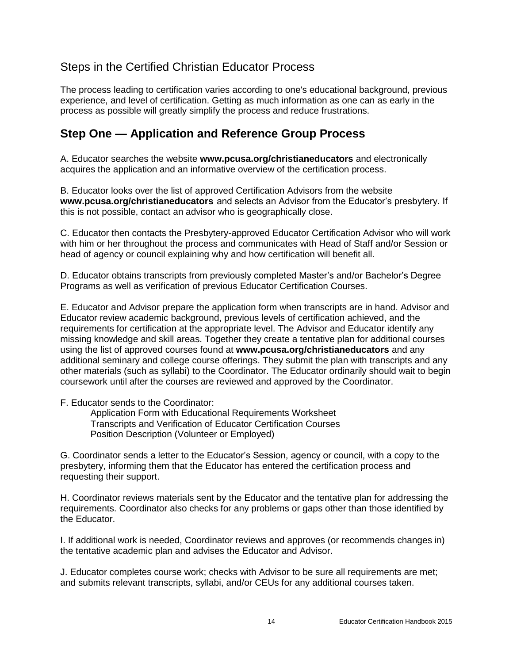### Steps in the Certified Christian Educator Process

The process leading to certification varies according to one's educational background, previous experience, and level of certification. Getting as much information as one can as early in the process as possible will greatly simplify the process and reduce frustrations.

### **Step One — Application and Reference Group Process**

A. Educator searches the website **[www.pcusa.org/christianeducators](http://www.pcusa.org/christianeducators)** and electronically acquires the application and an informative overview of the certification process.

B. Educator looks over the list of approved Certification Advisors from the website **[www.pcusa.org/christianeducators](http://www.pcusa.org/christianeducators)** and selects an Advisor from the Educator's presbytery. If this is not possible, contact an advisor who is geographically close.

C. Educator then contacts the Presbytery-approved Educator Certification Advisor who will work with him or her throughout the process and communicates with Head of Staff and/or Session or head of agency or council explaining why and how certification will benefit all.

D. Educator obtains transcripts from previously completed Master's and/or Bachelor's Degree Programs as well as verification of previous Educator Certification Courses.

E. Educator and Advisor prepare the application form when transcripts are in hand. Advisor and Educator review academic background, previous levels of certification achieved, and the requirements for certification at the appropriate level. The Advisor and Educator identify any missing knowledge and skill areas. Together they create a tentative plan for additional courses using the list of approved courses found at **[www.pcusa.org/christianeducators](http://www.pcusa.org/christianeducators)** and any additional seminary and college course offerings. They submit the plan with transcripts and any other materials (such as syllabi) to the Coordinator. The Educator ordinarily should wait to begin coursework until after the courses are reviewed and approved by the Coordinator.

### F. Educator sends to the Coordinator:

Application Form with Educational Requirements Worksheet Transcripts and Verification of Educator Certification Courses Position Description (Volunteer or Employed)

G. Coordinator sends a letter to the Educator's Session, agency or council, with a copy to the presbytery, informing them that the Educator has entered the certification process and requesting their support.

H. Coordinator reviews materials sent by the Educator and the tentative plan for addressing the requirements. Coordinator also checks for any problems or gaps other than those identified by the Educator.

I. If additional work is needed, Coordinator reviews and approves (or recommends changes in) the tentative academic plan and advises the Educator and Advisor.

J. Educator completes course work; checks with Advisor to be sure all requirements are met; and submits relevant transcripts, syllabi, and/or CEUs for any additional courses taken.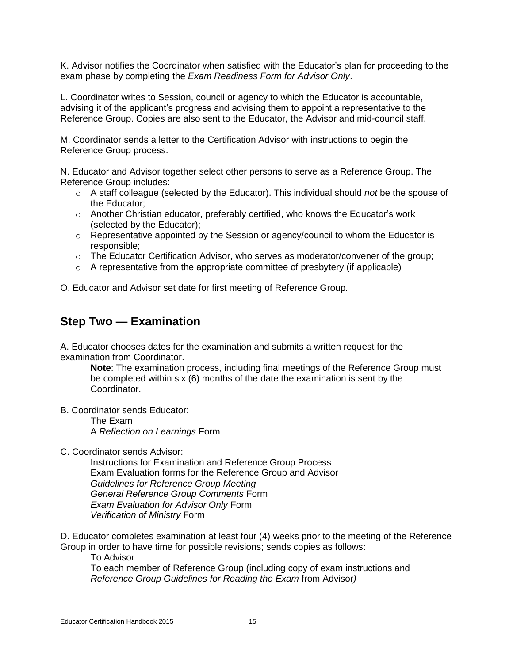K. Advisor notifies the Coordinator when satisfied with the Educator's plan for proceeding to the exam phase by completing the *Exam Readiness Form for Advisor Only*.

L. Coordinator writes to Session, council or agency to which the Educator is accountable, advising it of the applicant's progress and advising them to appoint a representative to the Reference Group. Copies are also sent to the Educator, the Advisor and mid-council staff.

M. Coordinator sends a letter to the Certification Advisor with instructions to begin the Reference Group process.

N. Educator and Advisor together select other persons to serve as a Reference Group. The Reference Group includes:

- o A staff colleague (selected by the Educator). This individual should *not* be the spouse of the Educator;
- $\circ$  Another Christian educator, preferably certified, who knows the Educator's work (selected by the Educator);
- $\circ$  Representative appointed by the Session or agency/council to whom the Educator is responsible;
- o The Educator Certification Advisor, who serves as moderator/convener of the group;
- $\circ$  A representative from the appropriate committee of presbytery (if applicable)

O. Educator and Advisor set date for first meeting of Reference Group.

### **Step Two — Examination**

A. Educator chooses dates for the examination and submits a written request for the examination from Coordinator.

**Note**: The examination process, including final meetings of the Reference Group must be completed within six (6) months of the date the examination is sent by the Coordinator.

B. Coordinator sends Educator:

The Exam A *Reflection on Learnings* Form

C. Coordinator sends Advisor:

Instructions for Examination and Reference Group Process Exam Evaluation forms for the Reference Group and Advisor *Guidelines for Reference Group Meeting General Reference Group Comments* Form *Exam Evaluation for Advisor Only* Form *Verification of Ministry* Form

D. Educator completes examination at least four (4) weeks prior to the meeting of the Reference Group in order to have time for possible revisions; sends copies as follows:

To Advisor

To each member of Reference Group (including copy of exam instructions and *Reference Group Guidelines for Reading the Exam* from Advisor*)*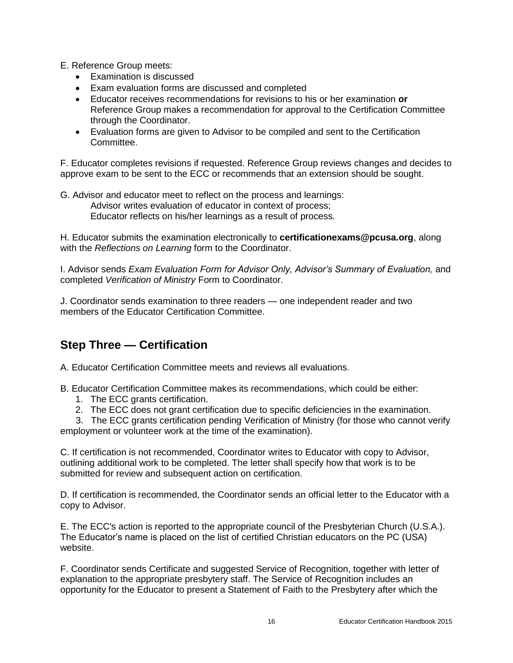E. Reference Group meets:

- Examination is discussed
- Exam evaluation forms are discussed and completed
- Educator receives recommendations for revisions to his or her examination **or**  Reference Group makes a recommendation for approval to the Certification Committee through the Coordinator.
- Evaluation forms are given to Advisor to be compiled and sent to the Certification Committee.

F. Educator completes revisions if requested. Reference Group reviews changes and decides to approve exam to be sent to the ECC or recommends that an extension should be sought.

G. Advisor and educator meet to reflect on the process and learnings: Advisor writes evaluation of educator in context of process; Educator reflects on his/her learnings as a result of process.

H. Educator submits the examination electronically to **[certificationexams@pcusa.org](mailto:certificationexams@pcusa.org)**, along with the *Reflections on Learning* form to the Coordinator.

I. Advisor sends *Exam Evaluation Form for Advisor Only, Advisor's Summary of Evaluation,* and completed *Verification of Ministry* Form to Coordinator.

J. Coordinator sends examination to three readers — one independent reader and two members of the Educator Certification Committee.

### **Step Three — Certification**

A. Educator Certification Committee meets and reviews all evaluations.

B. Educator Certification Committee makes its recommendations, which could be either:

- 1. The ECC grants certification.
- 2. The ECC does not grant certification due to specific deficiencies in the examination.

 3. The ECC grants certification pending Verification of Ministry (for those who cannot verify employment or volunteer work at the time of the examination).

C. If certification is not recommended, Coordinator writes to Educator with copy to Advisor, outlining additional work to be completed. The letter shall specify how that work is to be submitted for review and subsequent action on certification.

D. If certification is recommended, the Coordinator sends an official letter to the Educator with a copy to Advisor.

E. The ECC's action is reported to the appropriate council of the Presbyterian Church (U.S.A.). The Educator's name is placed on the list of certified Christian educators on the PC (USA) website.

F. Coordinator sends Certificate and suggested Service of Recognition, together with letter of explanation to the appropriate presbytery staff. The Service of Recognition includes an opportunity for the Educator to present a Statement of Faith to the Presbytery after which the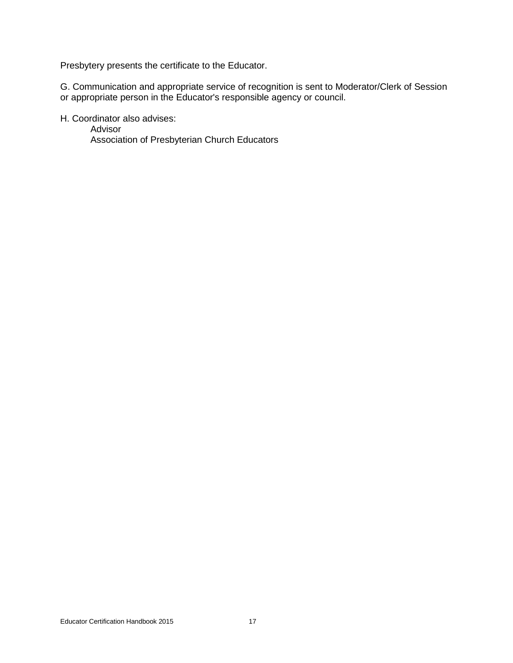Presbytery presents the certificate to the Educator.

G. Communication and appropriate service of recognition is sent to Moderator/Clerk of Session or appropriate person in the Educator's responsible agency or council.

H. Coordinator also advises:

Advisor Association of Presbyterian Church Educators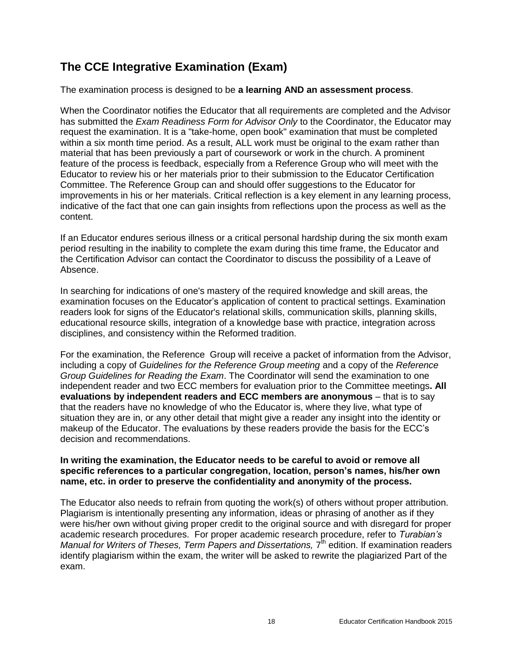### **The CCE Integrative Examination (Exam)**

The examination process is designed to be **a learning AND an assessment process**.

When the Coordinator notifies the Educator that all requirements are completed and the Advisor has submitted the *Exam Readiness Form for Advisor Only* to the Coordinator, the Educator may request the examination. It is a "take-home, open book" examination that must be completed within a six month time period. As a result, ALL work must be original to the exam rather than material that has been previously a part of coursework or work in the church. A prominent feature of the process is feedback, especially from a Reference Group who will meet with the Educator to review his or her materials prior to their submission to the Educator Certification Committee. The Reference Group can and should offer suggestions to the Educator for improvements in his or her materials. Critical reflection is a key element in any learning process, indicative of the fact that one can gain insights from reflections upon the process as well as the content.

If an Educator endures serious illness or a critical personal hardship during the six month exam period resulting in the inability to complete the exam during this time frame, the Educator and the Certification Advisor can contact the Coordinator to discuss the possibility of a Leave of Absence.

In searching for indications of one's mastery of the required knowledge and skill areas, the examination focuses on the Educator's application of content to practical settings. Examination readers look for signs of the Educator's relational skills, communication skills, planning skills, educational resource skills, integration of a knowledge base with practice, integration across disciplines, and consistency within the Reformed tradition.

For the examination, the Reference Group will receive a packet of information from the Advisor, including a copy of *Guidelines for the Reference Group meeting* and a copy of the *Reference Group Guidelines for Reading the Exam*. The Coordinator will send the examination to one independent reader and two ECC members for evaluation prior to the Committee meetings**. All evaluations by independent readers and ECC members are anonymous** – that is to say that the readers have no knowledge of who the Educator is, where they live, what type of situation they are in, or any other detail that might give a reader any insight into the identity or makeup of the Educator. The evaluations by these readers provide the basis for the ECC's decision and recommendations.

### **In writing the examination, the Educator needs to be careful to avoid or remove all specific references to a particular congregation, location, person's names, his/her own name, etc. in order to preserve the confidentiality and anonymity of the process.**

The Educator also needs to refrain from quoting the work(s) of others without proper attribution. Plagiarism is intentionally presenting any information, ideas or phrasing of another as if they were his/her own without giving proper credit to the original source and with disregard for proper academic research procedures. For proper academic research procedure, refer to *Turabian's*  Manual for Writers of Theses, Term Papers and Dissertations, 7<sup>th</sup> edition. If examination readers identify plagiarism within the exam, the writer will be asked to rewrite the plagiarized Part of the exam.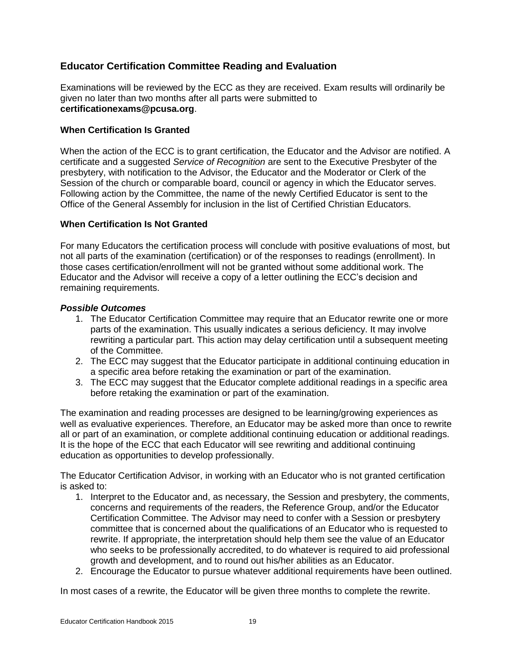### **Educator Certification Committee Reading and Evaluation**

Examinations will be reviewed by the ECC as they are received. Exam results will ordinarily be given no later than two months after all parts were submitted to **certificationexams@pcusa.org**.

### **When Certification Is Granted**

When the action of the ECC is to grant certification, the Educator and the Advisor are notified. A certificate and a suggested *Service of Recognition* are sent to the Executive Presbyter of the presbytery, with notification to the Advisor, the Educator and the Moderator or Clerk of the Session of the church or comparable board, council or agency in which the Educator serves. Following action by the Committee, the name of the newly Certified Educator is sent to the Office of the General Assembly for inclusion in the list of Certified Christian Educators.

### **When Certification Is Not Granted**

For many Educators the certification process will conclude with positive evaluations of most, but not all parts of the examination (certification) or of the responses to readings (enrollment). In those cases certification/enrollment will not be granted without some additional work. The Educator and the Advisor will receive a copy of a letter outlining the ECC's decision and remaining requirements.

### *Possible Outcomes*

- 1. The Educator Certification Committee may require that an Educator rewrite one or more parts of the examination. This usually indicates a serious deficiency. It may involve rewriting a particular part. This action may delay certification until a subsequent meeting of the Committee.
- 2. The ECC may suggest that the Educator participate in additional continuing education in a specific area before retaking the examination or part of the examination.
- 3. The ECC may suggest that the Educator complete additional readings in a specific area before retaking the examination or part of the examination.

The examination and reading processes are designed to be learning/growing experiences as well as evaluative experiences. Therefore, an Educator may be asked more than once to rewrite all or part of an examination, or complete additional continuing education or additional readings. It is the hope of the ECC that each Educator will see rewriting and additional continuing education as opportunities to develop professionally.

The Educator Certification Advisor, in working with an Educator who is not granted certification is asked to:

- 1. Interpret to the Educator and, as necessary, the Session and presbytery, the comments, concerns and requirements of the readers, the Reference Group, and/or the Educator Certification Committee. The Advisor may need to confer with a Session or presbytery committee that is concerned about the qualifications of an Educator who is requested to rewrite. If appropriate, the interpretation should help them see the value of an Educator who seeks to be professionally accredited, to do whatever is required to aid professional growth and development, and to round out his/her abilities as an Educator.
- 2. Encourage the Educator to pursue whatever additional requirements have been outlined.

In most cases of a rewrite, the Educator will be given three months to complete the rewrite.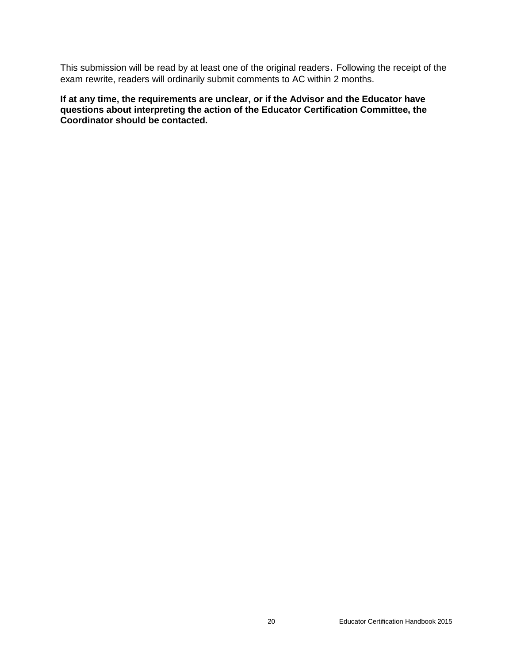This submission will be read by at least one of the original readers. Following the receipt of the exam rewrite, readers will ordinarily submit comments to AC within 2 months.

<span id="page-20-0"></span>**If at any time, the requirements are unclear, or if the Advisor and the Educator have questions about interpreting the action of the Educator Certification Committee, the Coordinator should be contacted.**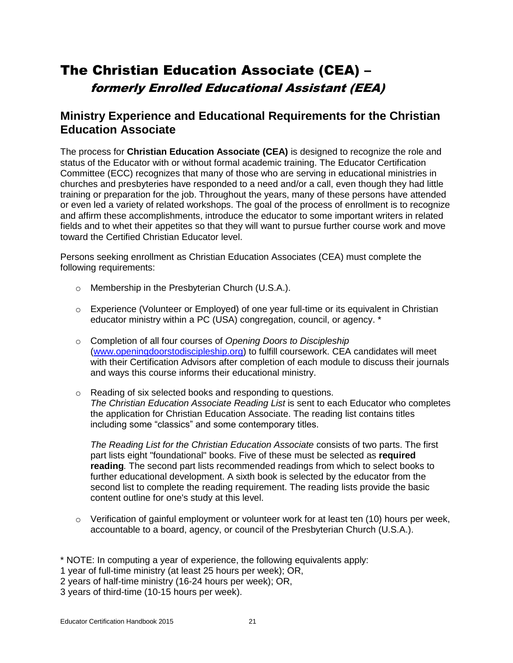# The Christian Education Associate (CEA) – formerly Enrolled Educational Assistant (EEA)

### **Ministry Experience and Educational Requirements for the Christian Education Associate**

The process for **Christian Education Associate (CEA)** is designed to recognize the role and status of the Educator with or without formal academic training. The Educator Certification Committee (ECC) recognizes that many of those who are serving in educational ministries in churches and presbyteries have responded to a need and/or a call, even though they had little training or preparation for the job. Throughout the years, many of these persons have attended or even led a variety of related workshops. The goal of the process of enrollment is to recognize and affirm these accomplishments, introduce the educator to some important writers in related fields and to whet their appetites so that they will want to pursue further course work and move toward the Certified Christian Educator level.

Persons seeking enrollment as Christian Education Associates (CEA) must complete the following requirements:

- o Membership in the Presbyterian Church (U.S.A.).
- $\circ$  Experience (Volunteer or Employed) of one year full-time or its equivalent in Christian educator ministry within a PC (USA) congregation, council, or agency. \*
- o Completion of all four courses of *Opening Doors to Discipleship*  [\(www.openingdoorstodiscipleship.org\)](http://www.openingdoorstodiscipleship.org/) to fulfill coursework. CEA candidates will meet with their Certification Advisors after completion of each module to discuss their journals and ways this course informs their educational ministry.
- o Reading of six selected books and responding to questions. *The Christian Education Associate Reading List* is sent to each Educator who completes the application for Christian Education Associate. The reading list contains titles including some "classics" and some contemporary titles.

*The Reading List for the Christian Education Associate* consists of two parts. The first part lists eight "foundational" books. Five of these must be selected as **required reading***.* The second part lists recommended readings from which to select books to further educational development. A sixth book is selected by the educator from the second list to complete the reading requirement. The reading lists provide the basic content outline for one's study at this level.

 $\circ$  Verification of gainful employment or volunteer work for at least ten (10) hours per week, accountable to a board, agency, or council of the Presbyterian Church (U.S.A.).

- 1 year of full-time ministry (at least 25 hours per week); OR,
- 2 years of half-time ministry (16-24 hours per week); OR,
- 3 years of third-time (10-15 hours per week).

<sup>\*</sup> NOTE: In computing a year of experience, the following equivalents apply: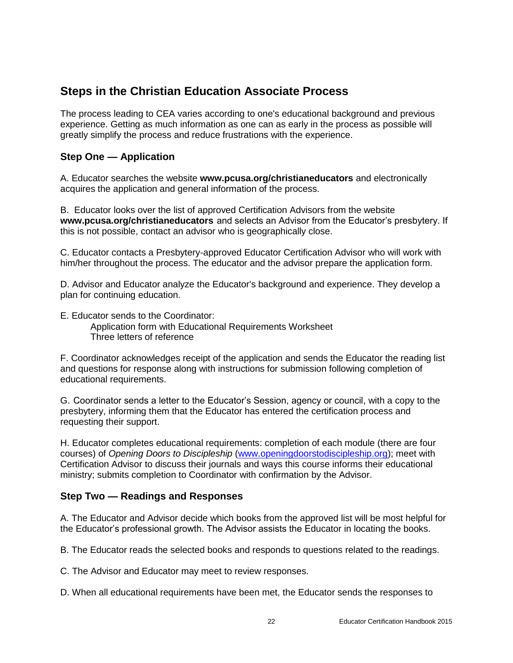### **Steps in the Christian Education Associate Process**

The process leading to CEA varies according to one's educational background and previous experience. Getting as much information as one can as early in the process as possible will greatly simplify the process and reduce frustrations with the experience.

### **Step One — Application**

A. Educator searches the website **[www.pcusa.org/christianeducators](http://www.pcusa.org/christianeducators)** and electronically acquires the application and general information of the process.

B. Educator looks over the list of approved Certification Advisors from the website **[www.pcusa.org/christianeducators](http://www.pcusa.org/christianeducators)** and selects an Advisor from the Educator's presbytery. If this is not possible, contact an advisor who is geographically close.

C. Educator contacts a Presbytery-approved Educator Certification Advisor who will work with him/her throughout the process. The educator and the advisor prepare the application form.

D. Advisor and Educator analyze the Educator's background and experience. They develop a plan for continuing education.

E. Educator sends to the Coordinator: Application form with Educational Requirements Worksheet Three letters of reference

F. Coordinator acknowledges receipt of the application and sends the Educator the reading list and questions for response along with instructions for submission following completion of educational requirements.

G. Coordinator sends a letter to the Educator's Session, agency or council, with a copy to the presbytery, informing them that the Educator has entered the certification process and requesting their support.

H. Educator completes educational requirements: completion of each module (there are four courses) of *Opening Doors to Discipleship* [\(www.openingdoorstodiscipleship.org\)](http://www.openingdoorstodiscipleship.org/); meet with Certification Advisor to discuss their journals and ways this course informs their educational ministry; submits completion to Coordinator with confirmation by the Advisor.

### **Step Two — Readings and Responses**

A. The Educator and Advisor decide which books from the approved list will be most helpful for the Educator's professional growth. The Advisor assists the Educator in locating the books.

B. The Educator reads the selected books and responds to questions related to the readings.

C. The Advisor and Educator may meet to review responses.

D. When all educational requirements have been met, the Educator sends the responses to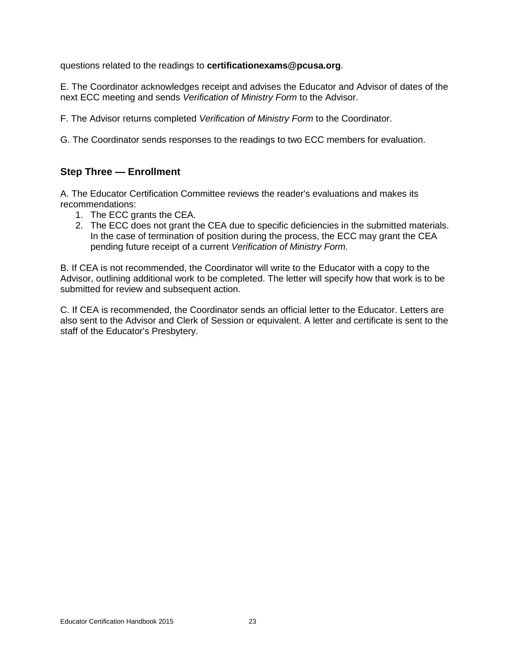questions related to the readings to **certificationexams@pcusa.org**.

E. The Coordinator acknowledges receipt and advises the Educator and Advisor of dates of the next ECC meeting and sends *Verification of Ministry Form* to the Advisor.

F. The Advisor returns completed *Verification of Ministry Form* to the Coordinator.

G. The Coordinator sends responses to the readings to two ECC members for evaluation.

### **Step Three — Enrollment**

A. The Educator Certification Committee reviews the reader's evaluations and makes its recommendations:

- 1. The ECC grants the CEA.
- 2. The ECC does not grant the CEA due to specific deficiencies in the submitted materials. In the case of termination of position during the process, the ECC may grant the CEA pending future receipt of a current *Verification of Ministry Form.*

B. If CEA is not recommended, the Coordinator will write to the Educator with a copy to the Advisor, outlining additional work to be completed. The letter will specify how that work is to be submitted for review and subsequent action.

C. If CEA is recommended, the Coordinator sends an official letter to the Educator. Letters are also sent to the Advisor and Clerk of Session or equivalent. A letter and certificate is sent to the staff of the Educator's Presbytery.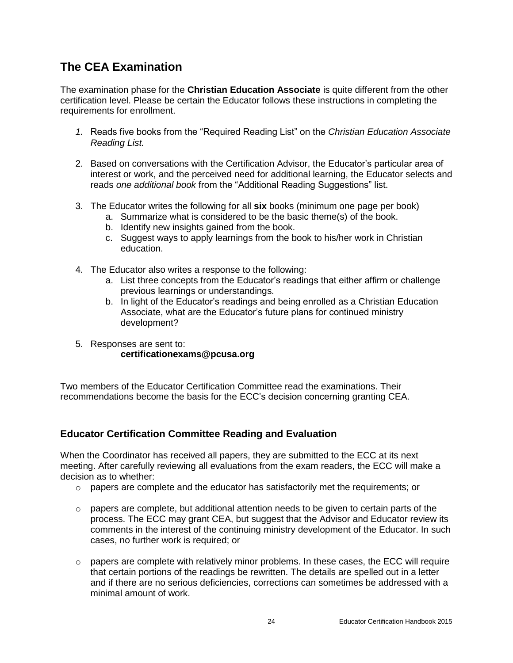### **The CEA Examination**

The examination phase for the **Christian Education Associate** is quite different from the other certification level. Please be certain the Educator follows these instructions in completing the requirements for enrollment.

- *1.* Reads five books from the "Required Reading List" on the *Christian Education Associate Reading List.*
- 2. Based on conversations with the Certification Advisor, the Educator's particular area of interest or work, and the perceived need for additional learning, the Educator selects and reads *one additional book* from the "Additional Reading Suggestions" list.
- 3. The Educator writes the following for all **six** books (minimum one page per book)
	- a. Summarize what is considered to be the basic theme(s) of the book.
		- b. Identify new insights gained from the book.
		- c. Suggest ways to apply learnings from the book to his/her work in Christian education.
- 4. The Educator also writes a response to the following:
	- a. List three concepts from the Educator's readings that either affirm or challenge previous learnings or understandings.
	- b. In light of the Educator's readings and being enrolled as a Christian Education Associate, what are the Educator's future plans for continued ministry development?
- 5. Responses are sent to: **certificationexams@pcusa.org**

Two members of the Educator Certification Committee read the examinations. Their recommendations become the basis for the ECC's decision concerning granting CEA.

### **Educator Certification Committee Reading and Evaluation**

When the Coordinator has received all papers, they are submitted to the ECC at its next meeting. After carefully reviewing all evaluations from the exam readers, the ECC will make a decision as to whether:

- $\circ$  papers are complete and the educator has satisfactorily met the requirements; or
- $\circ$  papers are complete, but additional attention needs to be given to certain parts of the process. The ECC may grant CEA, but suggest that the Advisor and Educator review its comments in the interest of the continuing ministry development of the Educator. In such cases, no further work is required; or
- o papers are complete with relatively minor problems. In these cases, the ECC will require that certain portions of the readings be rewritten. The details are spelled out in a letter and if there are no serious deficiencies, corrections can sometimes be addressed with a minimal amount of work.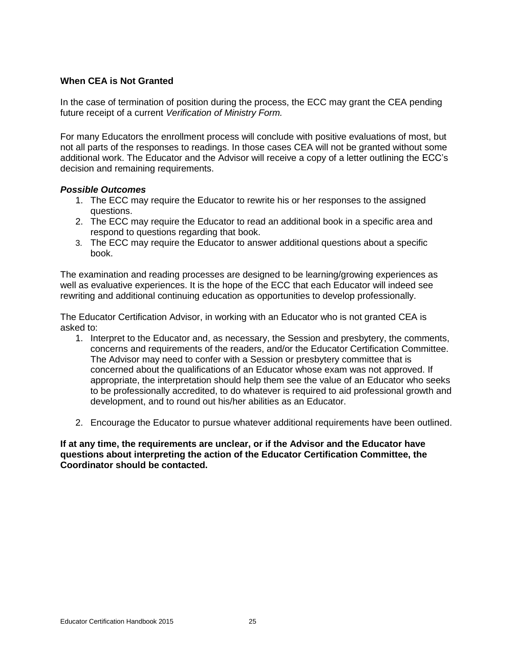### **When CEA is Not Granted**

In the case of termination of position during the process, the ECC may grant the CEA pending future receipt of a current *Verification of Ministry Form.*

For many Educators the enrollment process will conclude with positive evaluations of most, but not all parts of the responses to readings. In those cases CEA will not be granted without some additional work. The Educator and the Advisor will receive a copy of a letter outlining the ECC's decision and remaining requirements.

#### *Possible Outcomes*

- 1. The ECC may require the Educator to rewrite his or her responses to the assigned questions.
- 2. The ECC may require the Educator to read an additional book in a specific area and respond to questions regarding that book.
- 3. The ECC may require the Educator to answer additional questions about a specific book.

The examination and reading processes are designed to be learning/growing experiences as well as evaluative experiences. It is the hope of the ECC that each Educator will indeed see rewriting and additional continuing education as opportunities to develop professionally.

The Educator Certification Advisor, in working with an Educator who is not granted CEA is asked to:

- 1. Interpret to the Educator and, as necessary, the Session and presbytery, the comments, concerns and requirements of the readers, and/or the Educator Certification Committee. The Advisor may need to confer with a Session or presbytery committee that is concerned about the qualifications of an Educator whose exam was not approved. If appropriate, the interpretation should help them see the value of an Educator who seeks to be professionally accredited, to do whatever is required to aid professional growth and development, and to round out his/her abilities as an Educator.
- 2. Encourage the Educator to pursue whatever additional requirements have been outlined.

**If at any time, the requirements are unclear, or if the Advisor and the Educator have questions about interpreting the action of the Educator Certification Committee, the Coordinator should be contacted.**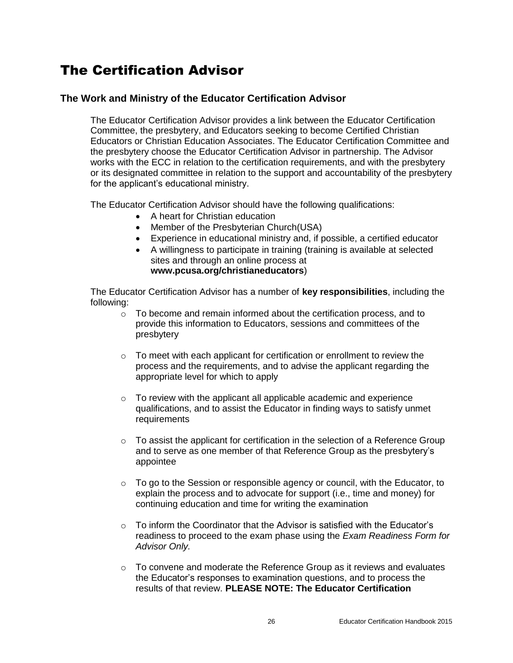# <span id="page-26-0"></span>The Certification Advisor

### **The Work and Ministry of the Educator Certification Advisor**

The Educator Certification Advisor provides a link between the Educator Certification Committee, the presbytery, and Educators seeking to become Certified Christian Educators or Christian Education Associates. The Educator Certification Committee and the presbytery choose the Educator Certification Advisor in partnership. The Advisor works with the ECC in relation to the certification requirements, and with the presbytery or its designated committee in relation to the support and accountability of the presbytery for the applicant's educational ministry.

The Educator Certification Advisor should have the following qualifications:

- A heart for Christian education
- Member of the Presbyterian Church(USA)
- Experience in educational ministry and, if possible, a certified educator
- A willingness to participate in training (training is available at selected sites and through an online process at **www.pcusa.org/christianeducators**)

The Educator Certification Advisor has a number of **key responsibilities**, including the following:

- o To become and remain informed about the certification process, and to provide this information to Educators, sessions and committees of the presbytery
- $\circ$  To meet with each applicant for certification or enrollment to review the process and the requirements, and to advise the applicant regarding the appropriate level for which to apply
- $\circ$  To review with the applicant all applicable academic and experience qualifications, and to assist the Educator in finding ways to satisfy unmet requirements
- $\circ$  To assist the applicant for certification in the selection of a Reference Group and to serve as one member of that Reference Group as the presbytery's appointee
- $\circ$  To go to the Session or responsible agency or council, with the Educator, to explain the process and to advocate for support (i.e., time and money) for continuing education and time for writing the examination
- $\circ$  To inform the Coordinator that the Advisor is satisfied with the Educator's readiness to proceed to the exam phase using the *Exam Readiness Form for Advisor Only.*
- $\circ$  To convene and moderate the Reference Group as it reviews and evaluates the Educator's responses to examination questions, and to process the results of that review. **PLEASE NOTE: The Educator Certification**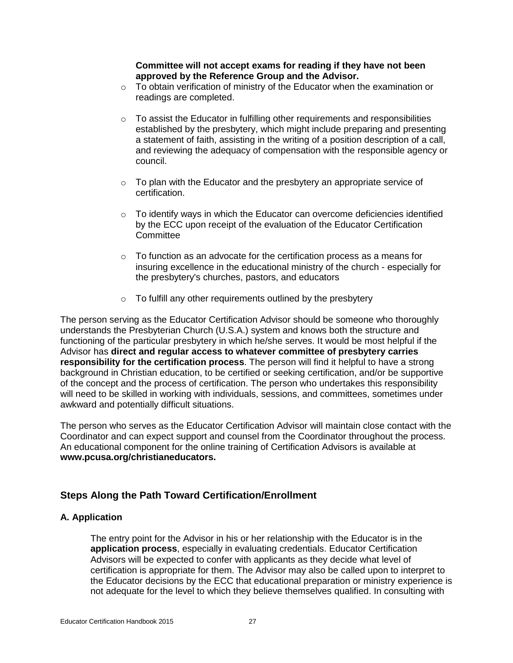### **Committee will not accept exams for reading if they have not been approved by the Reference Group and the Advisor.**

- $\circ$  To obtain verification of ministry of the Educator when the examination or readings are completed.
- $\circ$  To assist the Educator in fulfilling other requirements and responsibilities established by the presbytery, which might include preparing and presenting a statement of faith, assisting in the writing of a position description of a call, and reviewing the adequacy of compensation with the responsible agency or council.
- $\circ$  To plan with the Educator and the presbytery an appropriate service of certification.
- $\circ$  To identify ways in which the Educator can overcome deficiencies identified by the ECC upon receipt of the evaluation of the Educator Certification **Committee**
- $\circ$  To function as an advocate for the certification process as a means for insuring excellence in the educational ministry of the church - especially for the presbytery's churches, pastors, and educators
- $\circ$  To fulfill any other requirements outlined by the presbytery

The person serving as the Educator Certification Advisor should be someone who thoroughly understands the Presbyterian Church (U.S.A.) system and knows both the structure and functioning of the particular presbytery in which he/she serves. It would be most helpful if the Advisor has **direct and regular access to whatever committee of presbytery carries responsibility for the certification process**. The person will find it helpful to have a strong background in Christian education, to be certified or seeking certification, and/or be supportive of the concept and the process of certification. The person who undertakes this responsibility will need to be skilled in working with individuals, sessions, and committees, sometimes under awkward and potentially difficult situations.

The person who serves as the Educator Certification Advisor will maintain close contact with the Coordinator and can expect support and counsel from the Coordinator throughout the process. An educational component for the online training of Certification Advisors is available at **www.pcusa.org/christianeducators.** 

### **Steps Along the Path Toward Certification/Enrollment**

### **A. Application**

The entry point for the Advisor in his or her relationship with the Educator is in the **application process**, especially in evaluating credentials. Educator Certification Advisors will be expected to confer with applicants as they decide what level of certification is appropriate for them. The Advisor may also be called upon to interpret to the Educator decisions by the ECC that educational preparation or ministry experience is not adequate for the level to which they believe themselves qualified. In consulting with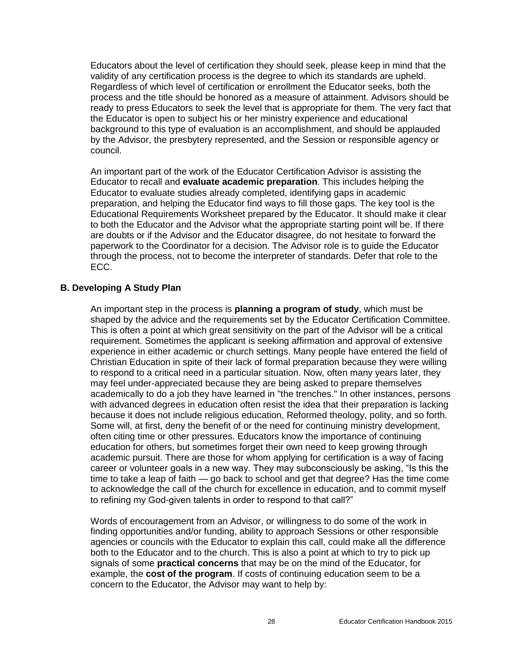Educators about the level of certification they should seek, please keep in mind that the validity of any certification process is the degree to which its standards are upheld. Regardless of which level of certification or enrollment the Educator seeks, both the process and the title should be honored as a measure of attainment. Advisors should be ready to press Educators to seek the level that is appropriate for them. The very fact that the Educator is open to subject his or her ministry experience and educational background to this type of evaluation is an accomplishment, and should be applauded by the Advisor, the presbytery represented, and the Session or responsible agency or council.

An important part of the work of the Educator Certification Advisor is assisting the Educator to recall and **evaluate academic preparation**. This includes helping the Educator to evaluate studies already completed, identifying gaps in academic preparation, and helping the Educator find ways to fill those gaps. The key tool is the Educational Requirements Worksheet prepared by the Educator. It should make it clear to both the Educator and the Advisor what the appropriate starting point will be. If there are doubts or if the Advisor and the Educator disagree, do not hesitate to forward the paperwork to the Coordinator for a decision. The Advisor role is to guide the Educator through the process, not to become the interpreter of standards. Defer that role to the ECC.

### **B. Developing A Study Plan**

An important step in the process is **planning a program of study**, which must be shaped by the advice and the requirements set by the Educator Certification Committee. This is often a point at which great sensitivity on the part of the Advisor will be a critical requirement. Sometimes the applicant is seeking affirmation and approval of extensive experience in either academic or church settings. Many people have entered the field of Christian Education in spite of their lack of formal preparation because they were willing to respond to a critical need in a particular situation. Now, often many years later, they may feel under-appreciated because they are being asked to prepare themselves academically to do a job they have learned in "the trenches." In other instances, persons with advanced degrees in education often resist the idea that their preparation is lacking because it does not include religious education, Reformed theology, polity, and so forth. Some will, at first, deny the benefit of or the need for continuing ministry development, often citing time or other pressures. Educators know the importance of continuing education for others, but sometimes forget their own need to keep growing through academic pursuit. There are those for whom applying for certification is a way of facing career or volunteer goals in a new way. They may subconsciously be asking, "Is this the time to take a leap of faith — go back to school and get that degree? Has the time come to acknowledge the call of the church for excellence in education, and to commit myself to refining my God-given talents in order to respond to that call?"

Words of encouragement from an Advisor, or willingness to do some of the work in finding opportunities and/or funding, ability to approach Sessions or other responsible agencies or councils with the Educator to explain this call, could make all the difference both to the Educator and to the church. This is also a point at which to try to pick up signals of some **practical concerns** that may be on the mind of the Educator, for example, the **cost of the program**. If costs of continuing education seem to be a concern to the Educator, the Advisor may want to help by: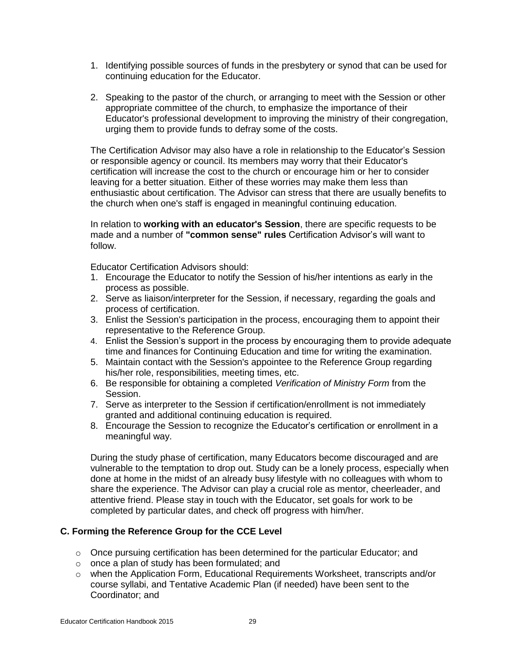- 1. Identifying possible sources of funds in the presbytery or synod that can be used for continuing education for the Educator.
- 2. Speaking to the pastor of the church, or arranging to meet with the Session or other appropriate committee of the church, to emphasize the importance of their Educator's professional development to improving the ministry of their congregation, urging them to provide funds to defray some of the costs.

The Certification Advisor may also have a role in relationship to the Educator's Session or responsible agency or council. Its members may worry that their Educator's certification will increase the cost to the church or encourage him or her to consider leaving for a better situation. Either of these worries may make them less than enthusiastic about certification. The Advisor can stress that there are usually benefits to the church when one's staff is engaged in meaningful continuing education.

In relation to **working with an educator's Session**, there are specific requests to be made and a number of **"common sense" rules** Certification Advisor's will want to follow.

Educator Certification Advisors should:

- 1. Encourage the Educator to notify the Session of his/her intentions as early in the process as possible.
- 2. Serve as liaison/interpreter for the Session, if necessary, regarding the goals and process of certification.
- 3. Enlist the Session's participation in the process, encouraging them to appoint their representative to the Reference Group.
- 4. Enlist the Session's support in the process by encouraging them to provide adequate time and finances for Continuing Education and time for writing the examination.
- 5. Maintain contact with the Session's appointee to the Reference Group regarding his/her role, responsibilities, meeting times, etc.
- 6. Be responsible for obtaining a completed *Verification of Ministry Form* from the Session.
- 7. Serve as interpreter to the Session if certification/enrollment is not immediately granted and additional continuing education is required.
- 8. Encourage the Session to recognize the Educator's certification or enrollment in a meaningful way.

During the study phase of certification, many Educators become discouraged and are vulnerable to the temptation to drop out. Study can be a lonely process, especially when done at home in the midst of an already busy lifestyle with no colleagues with whom to share the experience. The Advisor can play a crucial role as mentor, cheerleader, and attentive friend. Please stay in touch with the Educator, set goals for work to be completed by particular dates, and check off progress with him/her.

### **C. Forming the Reference Group for the CCE Level**

- $\circ$  Once pursuing certification has been determined for the particular Educator; and
- o once a plan of study has been formulated; and
- o when the Application Form, Educational Requirements Worksheet, transcripts and/or course syllabi, and Tentative Academic Plan (if needed) have been sent to the Coordinator; and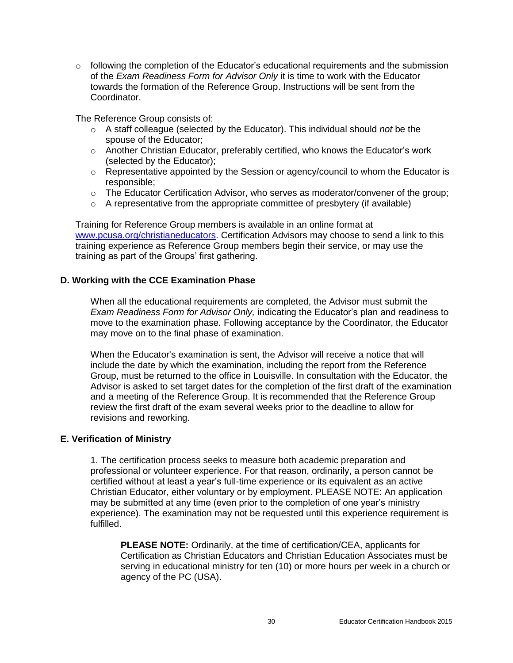$\circ$  following the completion of the Educator's educational requirements and the submission of the *Exam Readiness Form for Advisor Only* it is time to work with the Educator towards the formation of the Reference Group. Instructions will be sent from the Coordinator.

The Reference Group consists of:

- o A staff colleague (selected by the Educator). This individual should *not* be the spouse of the Educator;
- $\circ$  Another Christian Educator, preferably certified, who knows the Educator's work (selected by the Educator);
- $\circ$  Representative appointed by the Session or agency/council to whom the Educator is responsible;
- o The Educator Certification Advisor, who serves as moderator/convener of the group;
- $\circ$  A representative from the appropriate committee of presbytery (if available)

Training for Reference Group members is available in an online format at [www.pcusa.org/christianeducators.](http://www.pcusa.org/christianeducators) Certification Advisors may choose to send a link to this training experience as Reference Group members begin their service, or may use the training as part of the Groups' first gathering.

### **D. Working with the CCE Examination Phase**

When all the educational requirements are completed, the Advisor must submit the *Exam Readiness Form for Advisor Only,* indicating the Educator's plan and readiness to move to the examination phase*.* Following acceptance by the Coordinator, the Educator may move on to the final phase of examination.

When the Educator's examination is sent, the Advisor will receive a notice that will include the date by which the examination, including the report from the Reference Group, must be returned to the office in Louisville. In consultation with the Educator, the Advisor is asked to set target dates for the completion of the first draft of the examination and a meeting of the Reference Group. It is recommended that the Reference Group review the first draft of the exam several weeks prior to the deadline to allow for revisions and reworking.

### **E. Verification of Ministry**

1. The certification process seeks to measure both academic preparation and professional or volunteer experience. For that reason, ordinarily, a person cannot be certified without at least a year's full-time experience or its equivalent as an active Christian Educator, either voluntary or by employment. PLEASE NOTE: An application may be submitted at any time (even prior to the completion of one year's ministry experience). The examination may not be requested until this experience requirement is fulfilled.

**PLEASE NOTE:** Ordinarily, at the time of certification/CEA, applicants for Certification as Christian Educators and Christian Education Associates must be serving in educational ministry for ten (10) or more hours per week in a church or agency of the PC (USA).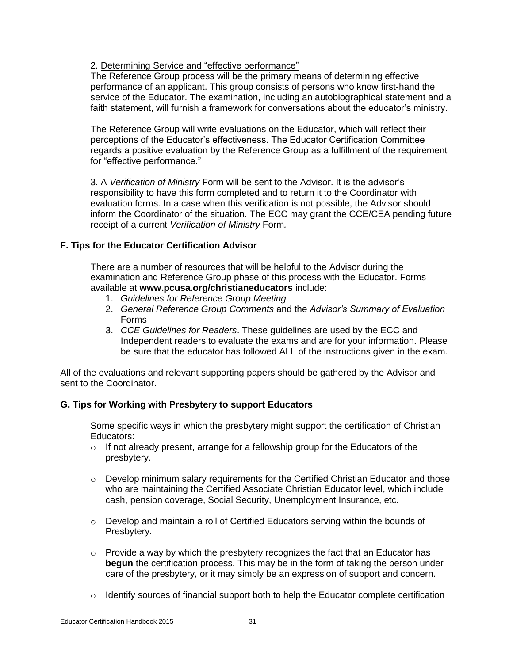### 2. Determining Service and "effective performance"

The Reference Group process will be the primary means of determining effective performance of an applicant. This group consists of persons who know first-hand the service of the Educator. The examination, including an autobiographical statement and a faith statement, will furnish a framework for conversations about the educator's ministry.

The Reference Group will write evaluations on the Educator, which will reflect their perceptions of the Educator's effectiveness. The Educator Certification Committee regards a positive evaluation by the Reference Group as a fulfillment of the requirement for "effective performance."

3. A *Verification of Ministry* Form will be sent to the Advisor. It is the advisor's responsibility to have this form completed and to return it to the Coordinator with evaluation forms. In a case when this verification is not possible, the Advisor should inform the Coordinator of the situation. The ECC may grant the CCE/CEA pending future receipt of a current *Verification of Ministry* Form*.*

### **F. Tips for the Educator Certification Advisor**

There are a number of resources that will be helpful to the Advisor during the examination and Reference Group phase of this process with the Educator. Forms available at **[www.pcusa.org/christianeducators](http://www.pcusa.org/christianeducators)** include:

- 1. *Guidelines for Reference Group Meeting*
- 2. *General Reference Group Comments* and the *Advisor's Summary of Evaluation* Forms
- 3. *CCE Guidelines for Readers*. These guidelines are used by the ECC and Independent readers to evaluate the exams and are for your information. Please be sure that the educator has followed ALL of the instructions given in the exam.

All of the evaluations and relevant supporting papers should be gathered by the Advisor and sent to the Coordinator.

### **G. Tips for Working with Presbytery to support Educators**

Some specific ways in which the presbytery might support the certification of Christian Educators:

- $\circ$  If not already present, arrange for a fellowship group for the Educators of the presbytery.
- o Develop minimum salary requirements for the Certified Christian Educator and those who are maintaining the Certified Associate Christian Educator level, which include cash, pension coverage, Social Security, Unemployment Insurance, etc.
- $\circ$  Develop and maintain a roll of Certified Educators serving within the bounds of Presbytery.
- o Provide a way by which the presbytery recognizes the fact that an Educator has **begun** the certification process. This may be in the form of taking the person under care of the presbytery, or it may simply be an expression of support and concern.
- $\circ$  Identify sources of financial support both to help the Educator complete certification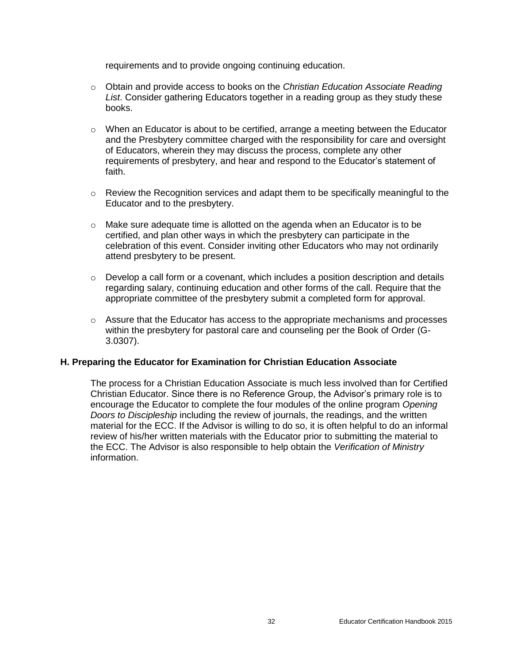requirements and to provide ongoing continuing education.

- o Obtain and provide access to books on the *Christian Education Associate Reading List*. Consider gathering Educators together in a reading group as they study these books.
- $\circ$  When an Educator is about to be certified, arrange a meeting between the Educator and the Presbytery committee charged with the responsibility for care and oversight of Educators, wherein they may discuss the process, complete any other requirements of presbytery, and hear and respond to the Educator's statement of faith.
- o Review the Recognition services and adapt them to be specifically meaningful to the Educator and to the presbytery.
- $\circ$  Make sure adequate time is allotted on the agenda when an Educator is to be certified, and plan other ways in which the presbytery can participate in the celebration of this event. Consider inviting other Educators who may not ordinarily attend presbytery to be present.
- $\circ$  Develop a call form or a covenant, which includes a position description and details regarding salary, continuing education and other forms of the call. Require that the appropriate committee of the presbytery submit a completed form for approval.
- $\circ$  Assure that the Educator has access to the appropriate mechanisms and processes within the presbytery for pastoral care and counseling per the Book of Order (G-3.0307).

### **H. Preparing the Educator for Examination for Christian Education Associate**

The process for a Christian Education Associate is much less involved than for Certified Christian Educator. Since there is no Reference Group, the Advisor's primary role is to encourage the Educator to complete the four modules of the online program *Opening Doors to Discipleship* including the review of journals, the readings, and the written material for the ECC. If the Advisor is willing to do so, it is often helpful to do an informal review of his/her written materials with the Educator prior to submitting the material to the ECC. The Advisor is also responsible to help obtain the *Verification of Ministry*  information.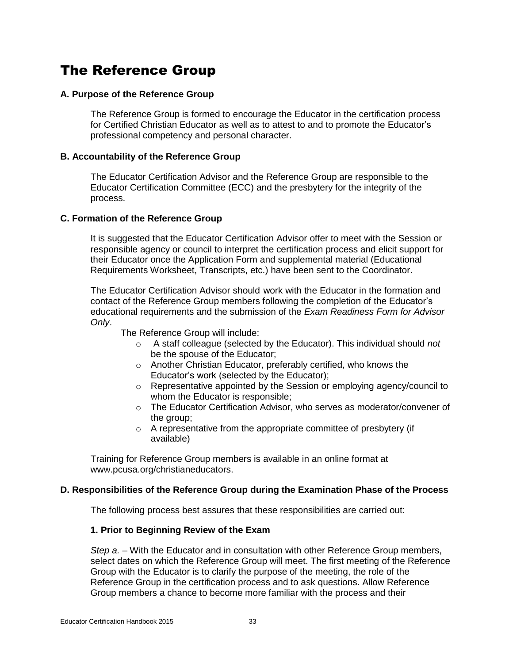## <span id="page-33-0"></span>The Reference Group

#### **A. Purpose of the Reference Group**

The Reference Group is formed to encourage the Educator in the certification process for Certified Christian Educator as well as to attest to and to promote the Educator's professional competency and personal character.

#### **B. Accountability of the Reference Group**

The Educator Certification Advisor and the Reference Group are responsible to the Educator Certification Committee (ECC) and the presbytery for the integrity of the process.

### **C. Formation of the Reference Group**

It is suggested that the Educator Certification Advisor offer to meet with the Session or responsible agency or council to interpret the certification process and elicit support for their Educator once the Application Form and supplemental material (Educational Requirements Worksheet, Transcripts, etc.) have been sent to the Coordinator.

The Educator Certification Advisor should work with the Educator in the formation and contact of the Reference Group members following the completion of the Educator's educational requirements and the submission of the *Exam Readiness Form for Advisor Only*.

- The Reference Group will include:
	- o A staff colleague (selected by the Educator). This individual should *not*  be the spouse of the Educator;
	- o Another Christian Educator, preferably certified, who knows the Educator's work (selected by the Educator);
	- $\circ$  Representative appointed by the Session or employing agency/council to whom the Educator is responsible;
	- $\circ$  The Educator Certification Advisor, who serves as moderator/convener of the group:
	- o A representative from the appropriate committee of presbytery (if available)

Training for Reference Group members is available in an online format at [www.pcusa.org/christianeducators.](http://www.pcusa.org/christianeducators)

#### **D. Responsibilities of the Reference Group during the Examination Phase of the Process**

The following process best assures that these responsibilities are carried out:

#### **1. Prior to Beginning Review of the Exam**

*Step a. –* With the Educator and in consultation with other Reference Group members, select dates on which the Reference Group will meet. The first meeting of the Reference Group with the Educator is to clarify the purpose of the meeting, the role of the Reference Group in the certification process and to ask questions. Allow Reference Group members a chance to become more familiar with the process and their